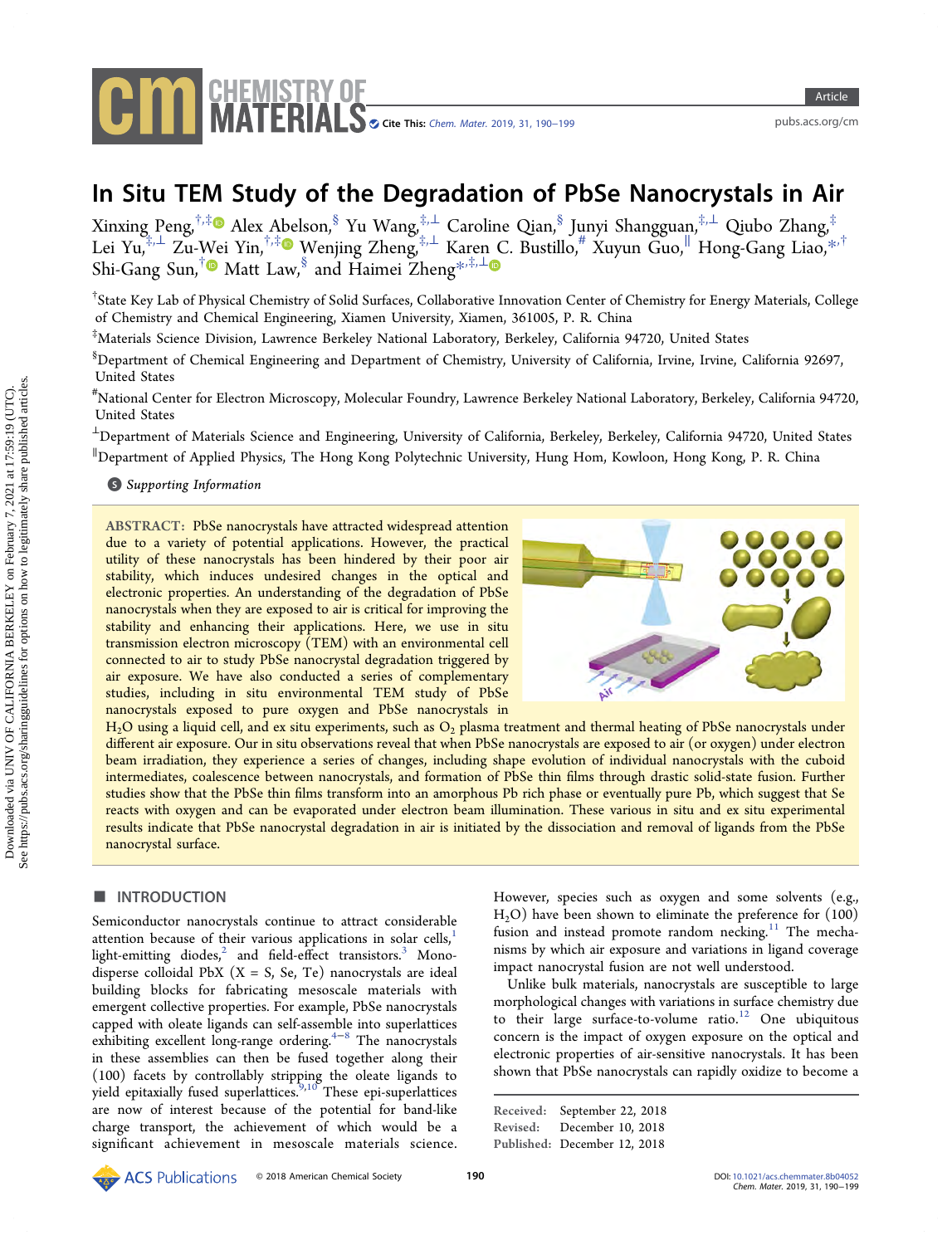

# In Situ TEM Study of the Degradation of PbSe Nanocrystals in Air

Xinxing Peng,<sup>†,‡</sup>® Alex A[be](#page-7-0)lson,<sup>§</sup> Yu Wang,‡,⊥ Caroline Qian,<sup>§</sup> Junyi Shangguan,<sup>‡,⊥</sup> Qiubo Zhang,<sup>‡</sup> Lei Yu,‡,<sup>⊥</sup> Zu-Wei Yin,†,‡ Wenjing Zheng,‡,<sup>⊥</sup> Karen C. Bustillo,# Xuyun Guo,<sup>∥</sup> Hong-Gang Liao,[\\*](#page-7-0),† Shi-Gang Sun,<sup>[†](#page-7-0)</sup> Matt Law,<sup>§</sup> and Haimei Zheng<sup>[\\*](#page-7-0),‡,[⊥](#page-7-0)</sup>

† State Key Lab of Physical Chemistry of Solid Surfaces, Collaborative Innovation Center of Chemistry for Energy Materials, College of Chemistry and Chemical Engineering, Xiamen University, Xiamen, 361005, P. R. China

‡ Materials Science Division, Lawrence Berkeley National Laboratory, Berkeley, California 94720, United States

 $^{\$}$ Department of Chemical Engineering and Department of Chemistry, University of California, Irvine, Irvine, California 92697, United States

# National Center for Electron Microscopy, Molecular Foundry, Lawrence Berkeley National Laboratory, Berkeley, California 94720, United States

<sup>⊥</sup>Department of Materials Science and Engineering, University of California, Berkeley, Berkeley, California 94720, United States ∥ Department of Applied Physics, The Hong Kong Polytechnic University, Hung Hom, Kowloon, Hong Kong, P. R. China

#### **S** [Supporting Information](#page-7-0)

ABSTRACT: PbSe nanocrystals have attracted widespread attention due to a variety of potential applications. However, the practical utility of these nanocrystals has been hindered by their poor air stability, which induces undesired changes in the optical and electronic properties. An understanding of the degradation of PbSe nanocrystals when they are exposed to air is critical for improving the stability and enhancing their applications. Here, we use in situ transmission electron microscopy (TEM) with an environmental cell connected to air to study PbSe nanocrystal degradation triggered by air exposure. We have also conducted a series of complementary studies, including in situ environmental TEM study of PbSe nanocrystals exposed to pure oxygen and PbSe nanocrystals in



 $H<sub>2</sub>O$  using a liquid cell, and ex situ experiments, such as  $O<sub>2</sub>$  plasma treatment and thermal heating of PbSe nanocrystals under different air exposure. Our in situ observations reveal that when PbSe nanocrystals are exposed to air (or oxygen) under electron beam irradiation, they experience a series of changes, including shape evolution of individual nanocrystals with the cuboid intermediates, coalescence between nanocrystals, and formation of PbSe thin films through drastic solid-state fusion. Further studies show that the PbSe thin films transform into an amorphous Pb rich phase or eventually pure Pb, which suggest that Se reacts with oxygen and can be evaporated under electron beam illumination. These various in situ and ex situ experimental results indicate that PbSe nanocrystal degradation in air is initiated by the dissociation and removal of ligands from the PbSe nanocrystal surface.

#### ■ INTRODUCTION

Semiconductor nanocrystals continue to attract considerable attention because of their various applications in solar cells, $\frac{1}{1}$  $\frac{1}{1}$  $\frac{1}{1}$ light-emitting diodes, $^2$  $^2$  and field-effect transistors. $^3$  $^3$  Monodisperse colloidal PbX  $(X = S, Se, Te)$  nanocrystals are ideal building blocks for fabricating mesoscale materials with emergent collective properties. For example, PbSe nanocrystals capped with oleate ligands can self-assemble into superlattices exhibiting excellent long-range ordering.<sup>[4](#page-8-0)-[8](#page-8-0)</sup> The nanocrystals in these assemblies can then be fused together along their (100) facets by controllably stripping the oleate ligands to  $y_i = y_i$  and  $y_i$  controllerly stripping the bieate ligatios to yield epitaxially fused superlattices.<sup>9,[10](#page-8-0)</sup> These epi-superlattices are now of interest because of the potential for band-like charge transport, the achievement of which would be a significant achievement in mesoscale materials science. However, species such as oxygen and some solvents (e.g.,  $H<sub>2</sub>O$ ) have been shown to eliminate the preference for  $(100)$ fusion and instead promote random necking.<sup>[11](#page-8-0)</sup> The mechanisms by which air exposure and variations in ligand coverage impact nanocrystal fusion are not well understood.

Unlike bulk materials, nanocrystals are susceptible to large morphological changes with variations in surface chemistry due to their large surface-to-volume ratio.<sup>[12](#page-8-0)</sup> One ubiquitous concern is the impact of oxygen exposure on the optical and electronic properties of air-sensitive nanocrystals. It has been shown that PbSe nanocrystals can rapidly oxidize to become a

Received: September 22, 2018 Revised: December 10, 2018 Published: December 12, 2018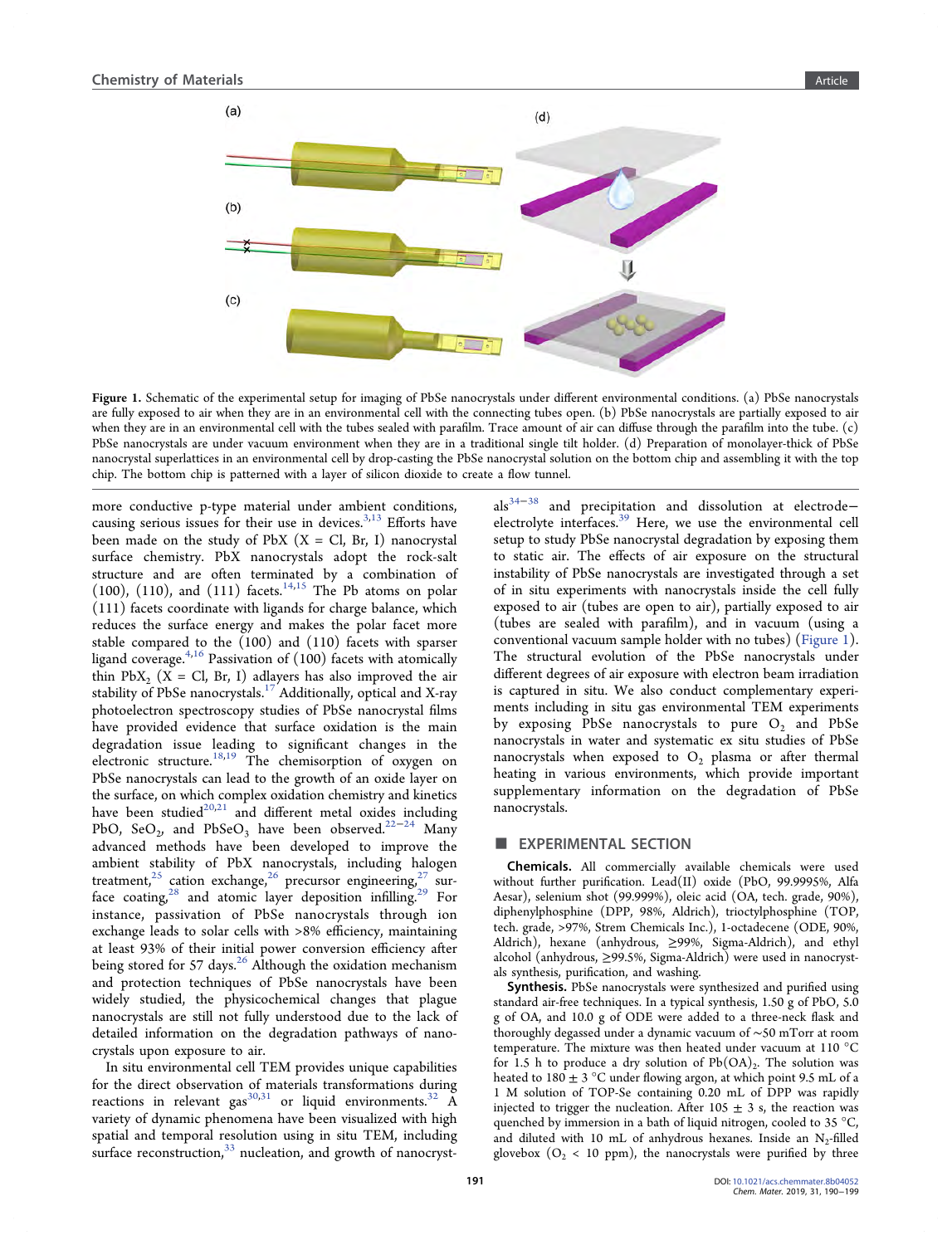<span id="page-1-0"></span>

Figure 1. Schematic of the experimental setup for imaging of PbSe nanocrystals under different environmental conditions. (a) PbSe nanocrystals are fully exposed to air when they are in an environmental cell with the connecting tubes open. (b) PbSe nanocrystals are partially exposed to air when they are in an environmental cell with the tubes sealed with parafilm. Trace amount of air can diffuse through the parafilm into the tube. (c) PbSe nanocrystals are under vacuum environment when they are in a traditional single tilt holder. (d) Preparation of monolayer-thick of PbSe nanocrystal superlattices in an environmental cell by drop-casting the PbSe nanocrystal solution on the bottom chip and assembling it with the top chip. The bottom chip is patterned with a layer of silicon dioxide to create a flow tunnel.

more conductive p-type material under ambient conditions, causing serious issues for their use in devices. $3,13$  $3,13$  $3,13$  Efforts have been made on the study of PbX  $(X = Cl, Br, I)$  nanocrystal surface chemistry. PbX nanocrystals adopt the rock-salt structure and are often terminated by a combination of (100), (110), and (111) facets.<sup>[14,15](#page-8-0)</sup> The Pb atoms on polar (111) facets coordinate with ligands for charge balance, which reduces the surface energy and makes the polar facet more stable compared to the (100) and (110) facets with sparser ligand coverage.<sup>[4](#page-8-0),[16](#page-8-0)</sup> Passivation of  $(100)$  facets with atomically thin PbX<sub>2</sub> (X = Cl, Br, I) adlayers has also improved the air stability of PbSe nanocrystals.<sup>[17](#page-8-0)</sup> Additionally, optical and X-ray photoelectron spectroscopy studies of PbSe nanocrystal films have provided evidence that surface oxidation is the main degradation issue leading to significant changes in the electronic structure.<sup>[18,19](#page-8-0)</sup> The chemisorption of oxygen on PbSe nanocrystals can lead to the growth of an oxide layer on the surface, on which complex oxidation chemistry and kinetics have been studied $20,21$  and different metal oxides including PbO, SeO<sub>2</sub>, and PbSeO<sub>3</sub> have been observed.<sup>22−[24](#page-8-0)</sup> Many advanced methods have been developed to improve the ambient stability of PbX nanocrystals, including halogen treatment,<sup>[25](#page-8-0)</sup> cation exchange,<sup>[26](#page-8-0)</sup> precursor engineering,<sup>27</sup> surface coating, $28$  and atomic layer deposition infilling.<sup>[29](#page-8-0)</sup> For instance, passivation of PbSe nanocrystals through ion exchange leads to solar cells with >8% efficiency, maintaining at least 93% of their initial power conversion efficiency after being stored for 57 days.<sup>[26](#page-8-0)</sup> Although the oxidation mechanism and protection techniques of PbSe nanocrystals have been widely studied, the physicochemical changes that plague nanocrystals are still not fully understood due to the lack of detailed information on the degradation pathways of nanocrystals upon exposure to air.

In situ environmental cell TEM provides unique capabilities for the direct observation of materials transformations during reactions in relevant gas $^{30,31}$  $^{30,31}$  $^{30,31}$  or liquid environments.<sup>[32](#page-8-0)</sup> A variety of dynamic phenomena have been visualized with high spatial and temporal resolution using in situ TEM, including surface reconstruction, $33$  nucleation, and growth of nanocryst-

als<sup>[34](#page-8-0)−[38](#page-8-0)</sup> and precipitation and dissolution at electrode-electrolyte interfaces.<sup>[39](#page-9-0)</sup> Here, we use the environmental cell setup to study PbSe nanocrystal degradation by exposing them to static air. The effects of air exposure on the structural instability of PbSe nanocrystals are investigated through a set of in situ experiments with nanocrystals inside the cell fully exposed to air (tubes are open to air), partially exposed to air (tubes are sealed with parafilm), and in vacuum (using a conventional vacuum sample holder with no tubes) (Figure 1). The structural evolution of the PbSe nanocrystals under different degrees of air exposure with electron beam irradiation is captured in situ. We also conduct complementary experiments including in situ gas environmental TEM experiments by exposing PbSe nanocrystals to pure  $O_2$  and PbSe nanocrystals in water and systematic ex situ studies of PbSe nanocrystals when exposed to  $O_2$  plasma or after thermal heating in various environments, which provide important supplementary information on the degradation of PbSe nanocrystals.

### **EXPERIMENTAL SECTION**

Chemicals. All commercially available chemicals were used without further purification. Lead(II) oxide (PbO, 99.9995%, Alfa Aesar), selenium shot (99.999%), oleic acid (OA, tech. grade, 90%), diphenylphosphine (DPP, 98%, Aldrich), trioctylphosphine (TOP, tech. grade, >97%, Strem Chemicals Inc.), 1-octadecene (ODE, 90%, Aldrich), hexane (anhydrous, ≥99%, Sigma-Aldrich), and ethyl alcohol (anhydrous, ≥99.5%, Sigma-Aldrich) were used in nanocrystals synthesis, purification, and washing.

Synthesis. PbSe nanocrystals were synthesized and purified using standard air-free techniques. In a typical synthesis, 1.50 g of PbO, 5.0 g of OA, and 10.0 g of ODE were added to a three-neck flask and thoroughly degassed under a dynamic vacuum of ∼50 mTorr at room temperature. The mixture was then heated under vacuum at 110 °C for 1.5 h to produce a dry solution of  $Pb(OA)_2$ . The solution was heated to  $180 \pm 3$  °C under flowing argon, at which point 9.5 mL of a 1 M solution of TOP-Se containing 0.20 mL of DPP was rapidly injected to trigger the nucleation. After  $105 \pm 3$  s, the reaction was quenched by immersion in a bath of liquid nitrogen, cooled to 35 °C, and diluted with 10 mL of anhydrous hexanes. Inside an  $N_2$ -filled glovebox ( $O_2$  < 10 ppm), the nanocrystals were purified by three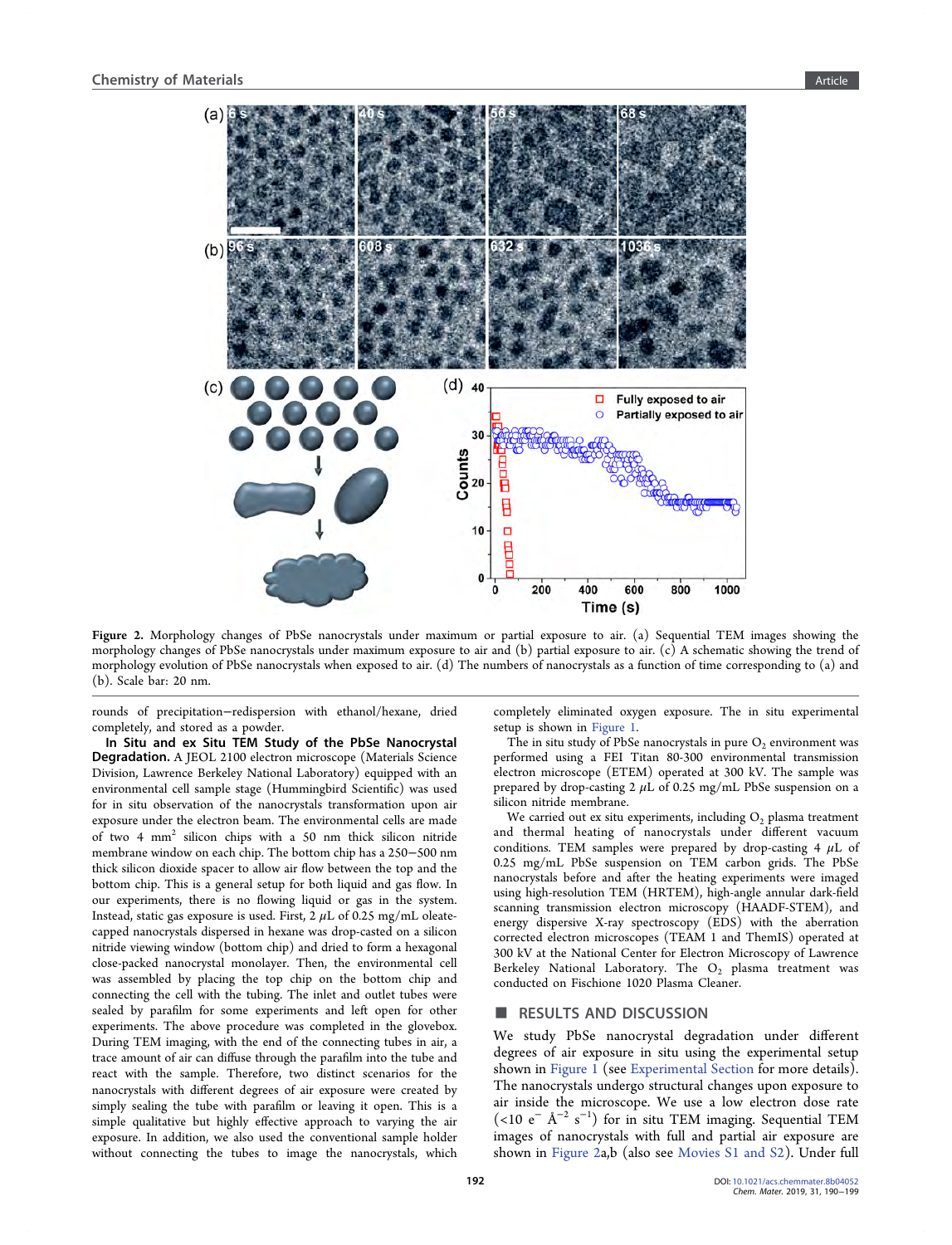<span id="page-2-0"></span>

Figure 2. Morphology changes of PbSe nanocrystals under maximum or partial exposure to air. (a) Sequential TEM images showing the morphology changes of PbSe nanocrystals under maximum exposure to air and (b) partial exposure to air. (c) A schematic showing the trend of morphology evolution of PbSe nanocrystals when exposed to air. (d) The numbers of nanocrystals as a function of time corresponding to (a) and (b). Scale bar: 20 nm.

rounds of precipitation−redispersion with ethanol/hexane, dried completely, and stored as a powder.

In Situ and ex Situ TEM Study of the PbSe Nanocrystal Degradation. A JEOL 2100 electron microscope (Materials Science Division, Lawrence Berkeley National Laboratory) equipped with an environmental cell sample stage (Hummingbird Scientific) was used for in situ observation of the nanocrystals transformation upon air exposure under the electron beam. The environmental cells are made of two 4 mm2 silicon chips with a 50 nm thick silicon nitride membrane window on each chip. The bottom chip has a 250−500 nm thick silicon dioxide spacer to allow air flow between the top and the bottom chip. This is a general setup for both liquid and gas flow. In our experiments, there is no flowing liquid or gas in the system. Instead, static gas exposure is used. First,  $2 \mu L$  of 0.25 mg/mL oleatecapped nanocrystals dispersed in hexane was drop-casted on a silicon nitride viewing window (bottom chip) and dried to form a hexagonal close-packed nanocrystal monolayer. Then, the environmental cell was assembled by placing the top chip on the bottom chip and connecting the cell with the tubing. The inlet and outlet tubes were sealed by parafilm for some experiments and left open for other experiments. The above procedure was completed in the glovebox. During TEM imaging, with the end of the connecting tubes in air, a trace amount of air can diffuse through the parafilm into the tube and react with the sample. Therefore, two distinct scenarios for the nanocrystals with different degrees of air exposure were created by simply sealing the tube with parafilm or leaving it open. This is a simple qualitative but highly effective approach to varying the air exposure. In addition, we also used the conventional sample holder without connecting the tubes to image the nanocrystals, which

completely eliminated oxygen exposure. The in situ experimental setup is shown in [Figure 1](#page-1-0).

The in situ study of PbSe nanocrystals in pure  $O_2$  environment was performed using a FEI Titan 80-300 environmental transmission electron microscope (ETEM) operated at 300 kV. The sample was prepared by drop-casting  $2 \mu L$  of 0.25 mg/mL PbSe suspension on a silicon nitride membrane.

We carried out ex situ experiments, including  $O<sub>2</sub>$  plasma treatment and thermal heating of nanocrystals under different vacuum conditions. TEM samples were prepared by drop-casting 4  $\mu$ L of 0.25 mg/mL PbSe suspension on TEM carbon grids. The PbSe nanocrystals before and after the heating experiments were imaged using high-resolution TEM (HRTEM), high-angle annular dark-field scanning transmission electron microscopy (HAADF-STEM), and energy dispersive X-ray spectroscopy (EDS) with the aberration corrected electron microscopes (TEAM 1 and ThemIS) operated at 300 kV at the National Center for Electron Microscopy of Lawrence Berkeley National Laboratory. The  $O_2$  plasma treatment was conducted on Fischione 1020 Plasma Cleaner.

#### ■ RESULTS AND DISCUSSION

We study PbSe nanocrystal degradation under different degrees of air exposure in situ using the experimental setup shown in [Figure 1](#page-1-0) (see [Experimental Section](#page-1-0) for more details). The nanocrystals undergo structural changes upon exposure to air inside the microscope. We use a low electron dose rate (<10 e<sup>−</sup> Å<sup>−</sup><sup>2</sup> s −1 ) for in situ TEM imaging. Sequential TEM images of nanocrystals with full and partial air exposure are shown in Figure 2a,b (also see [Movies S1 and S2\)](#page-7-0). Under full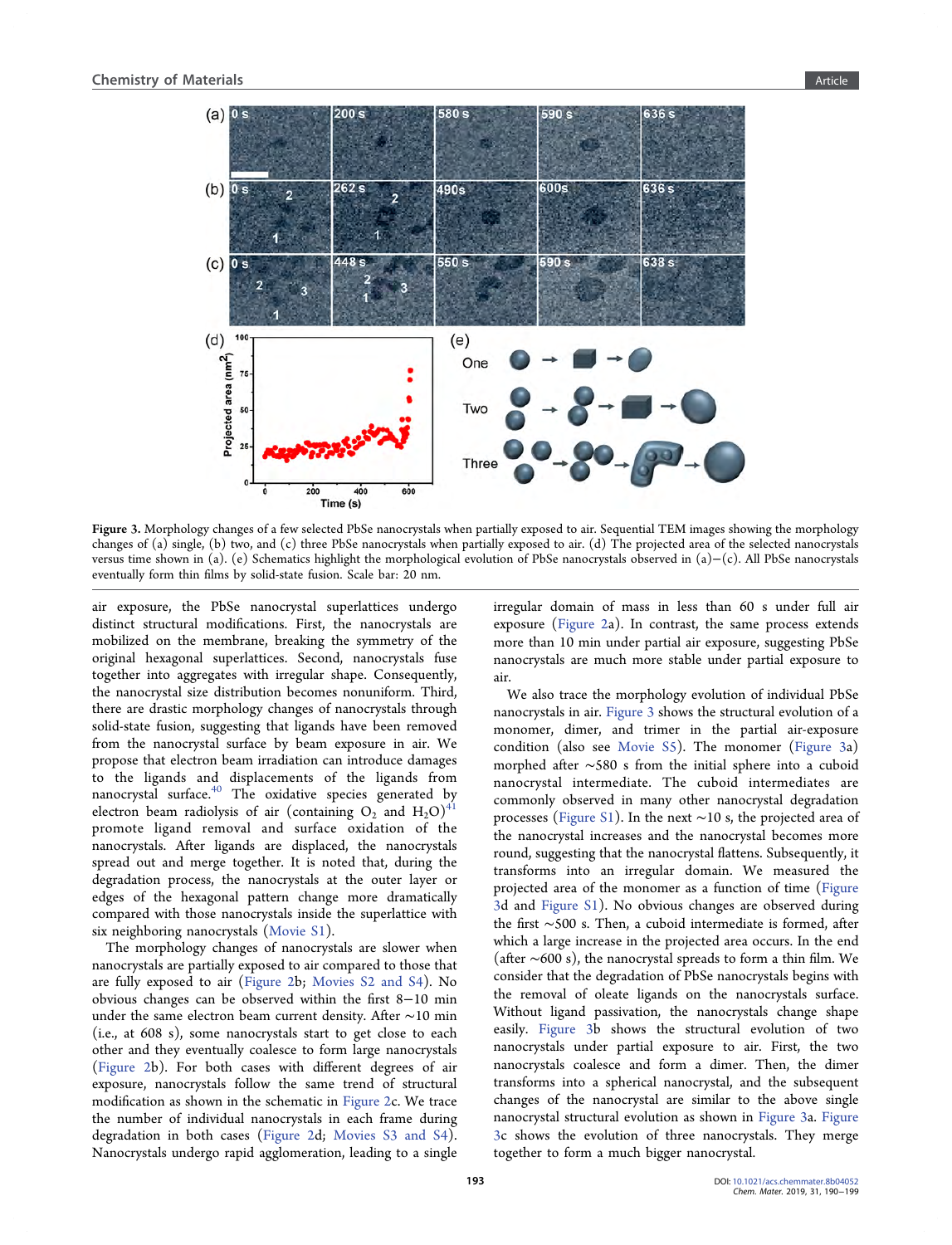

Figure 3. Morphology changes of a few selected PbSe nanocrystals when partially exposed to air. Sequential TEM images showing the morphology changes of (a) single, (b) two, and (c) three PbSe nanocrystals when partially exposed to air. (d) The projected area of the selected nanocrystals versus time shown in (a). (e) Schematics highlight the morphological evolution of PbSe nanocrystals observed in (a)−(c). All PbSe nanocrystals eventually form thin films by solid-state fusion. Scale bar: 20 nm.

air exposure, the PbSe nanocrystal superlattices undergo distinct structural modifications. First, the nanocrystals are mobilized on the membrane, breaking the symmetry of the original hexagonal superlattices. Second, nanocrystals fuse together into aggregates with irregular shape. Consequently, the nanocrystal size distribution becomes nonuniform. Third, there are drastic morphology changes of nanocrystals through solid-state fusion, suggesting that ligands have been removed from the nanocrystal surface by beam exposure in air. We propose that electron beam irradiation can introduce damages to the ligands and displacements of the ligands from nanocrystal surface.[40](#page-9-0) The oxidative species generated by electron beam radiolysis of air (containing  $O_2$  and  $H_2O$ )<sup>4</sup> promote ligand removal and surface oxidation of the nanocrystals. After ligands are displaced, the nanocrystals spread out and merge together. It is noted that, during the degradation process, the nanocrystals at the outer layer or edges of the hexagonal pattern change more dramatically compared with those nanocrystals inside the superlattice with six neighboring nanocrystals ([Movie S1](#page-7-0)).

The morphology changes of nanocrystals are slower when nanocrystals are partially exposed to air compared to those that are fully exposed to air ([Figure 2b](#page-2-0); [Movies S2 and S4](#page-7-0)). No obvious changes can be observed within the first 8−10 min under the same electron beam current density. After ∼10 min (i.e., at 608 s), some nanocrystals start to get close to each other and they eventually coalesce to form large nanocrystals ([Figure 2](#page-2-0)b). For both cases with different degrees of air exposure, nanocrystals follow the same trend of structural modification as shown in the schematic in [Figure 2](#page-2-0)c. We trace the number of individual nanocrystals in each frame during degradation in both cases ([Figure 2d](#page-2-0); [Movies S3 and S4](#page-7-0)). Nanocrystals undergo rapid agglomeration, leading to a single

irregular domain of mass in less than 60 s under full air exposure ([Figure 2a](#page-2-0)). In contrast, the same process extends more than 10 min under partial air exposure, suggesting PbSe nanocrystals are much more stable under partial exposure to air.

We also trace the morphology evolution of individual PbSe nanocrystals in air. Figure 3 shows the structural evolution of a monomer, dimer, and trimer in the partial air-exposure condition (also see [Movie S5\)](#page-7-0). The monomer (Figure 3a) morphed after ∼580 s from the initial sphere into a cuboid nanocrystal intermediate. The cuboid intermediates are commonly observed in many other nanocrystal degradation processes [\(Figure S1\)](#page-7-0). In the next ∼10 s, the projected area of the nanocrystal increases and the nanocrystal becomes more round, suggesting that the nanocrystal flattens. Subsequently, it transforms into an irregular domain. We measured the projected area of the monomer as a function of time (Figure 3d and [Figure S1](#page-7-0)). No obvious changes are observed during the first ∼500 s. Then, a cuboid intermediate is formed, after which a large increase in the projected area occurs. In the end (after ∼600 s), the nanocrystal spreads to form a thin film. We consider that the degradation of PbSe nanocrystals begins with the removal of oleate ligands on the nanocrystals surface. Without ligand passivation, the nanocrystals change shape easily. Figure 3b shows the structural evolution of two nanocrystals under partial exposure to air. First, the two nanocrystals coalesce and form a dimer. Then, the dimer transforms into a spherical nanocrystal, and the subsequent changes of the nanocrystal are similar to the above single nanocrystal structural evolution as shown in Figure 3a. Figure 3c shows the evolution of three nanocrystals. They merge together to form a much bigger nanocrystal.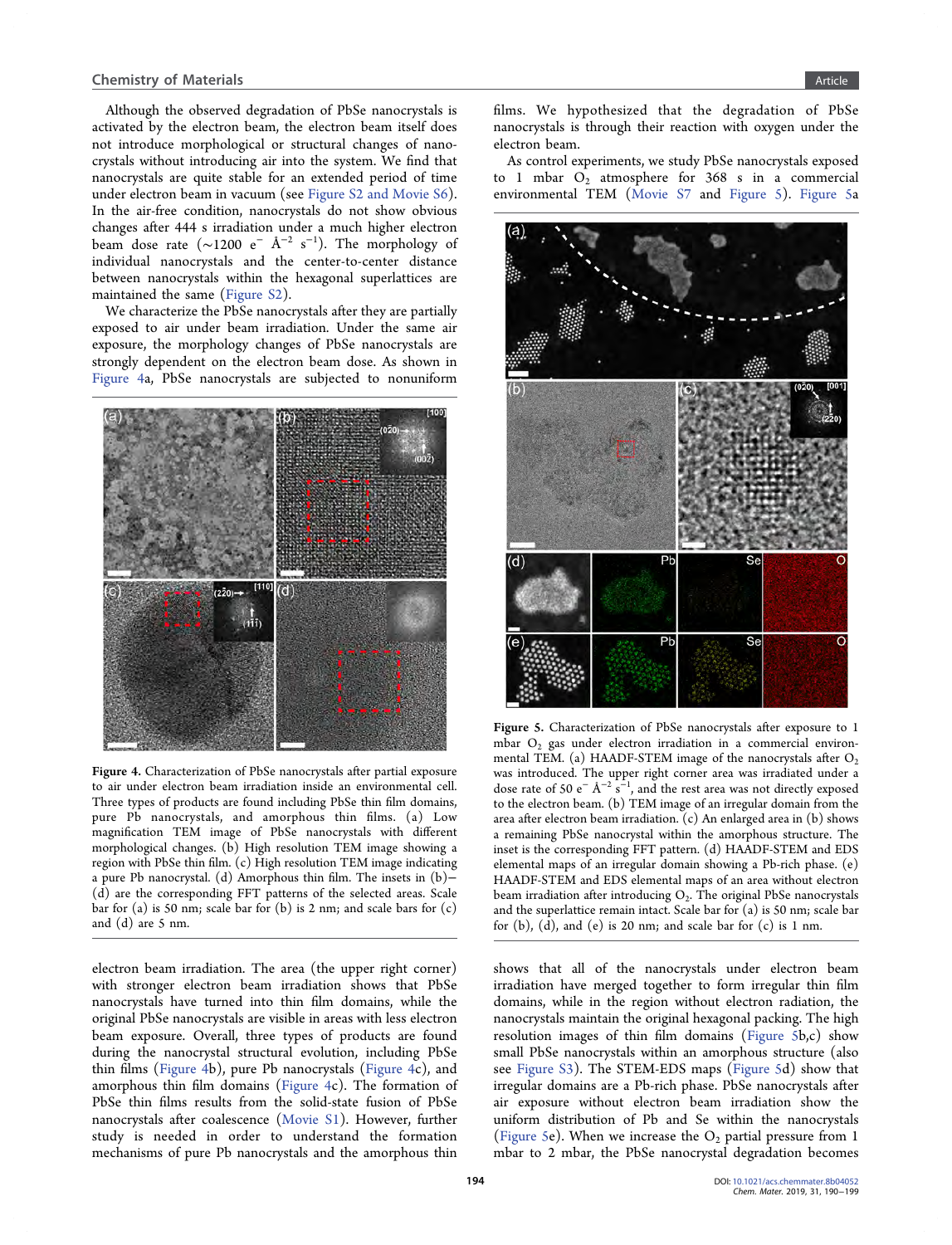Although the observed degradation of PbSe nanocrystals is activated by the electron beam, the electron beam itself does not introduce morphological or structural changes of nanocrystals without introducing air into the system. We find that nanocrystals are quite stable for an extended period of time under electron beam in vacuum (see [Figure S2 and Movie S6](#page-7-0)). In the air-free condition, nanocrystals do not show obvious changes after 444 s irradiation under a much higher electron beam dose rate (~1200 e $^-$  Å $^{-2}$  s $^{-1}$ ). The morphology of individual nanocrystals and the center-to-center distance between nanocrystals within the hexagonal superlattices are maintained the same [\(Figure S2\)](#page-7-0).

We characterize the PbSe nanocrystals after they are partially exposed to air under beam irradiation. Under the same air exposure, the morphology changes of PbSe nanocrystals are strongly dependent on the electron beam dose. As shown in Figure 4a, PbSe nanocrystals are subjected to nonuniform



Figure 4. Characterization of PbSe nanocrystals after partial exposure to air under electron beam irradiation inside an environmental cell. Three types of products are found including PbSe thin film domains, pure Pb nanocrystals, and amorphous thin films. (a) Low magnification TEM image of PbSe nanocrystals with different morphological changes. (b) High resolution TEM image showing a region with PbSe thin film. (c) High resolution TEM image indicating a pure Pb nanocrystal. (d) Amorphous thin film. The insets in (b)− (d) are the corresponding FFT patterns of the selected areas. Scale bar for (a) is 50 nm; scale bar for (b) is 2 nm; and scale bars for (c) and (d) are 5 nm.

electron beam irradiation. The area (the upper right corner) with stronger electron beam irradiation shows that PbSe nanocrystals have turned into thin film domains, while the original PbSe nanocrystals are visible in areas with less electron beam exposure. Overall, three types of products are found during the nanocrystal structural evolution, including PbSe thin films (Figure 4b), pure Pb nanocrystals (Figure 4c), and amorphous thin film domains (Figure 4c). The formation of PbSe thin films results from the solid-state fusion of PbSe nanocrystals after coalescence [\(Movie S1](#page-7-0)). However, further study is needed in order to understand the formation mechanisms of pure Pb nanocrystals and the amorphous thin

films. We hypothesized that the degradation of PbSe nanocrystals is through their reaction with oxygen under the electron beam.

As control experiments, we study PbSe nanocrystals exposed to 1 mbar  $O_2$  atmosphere for 368 s in a commercial environmental TEM [\(Movie S7](#page-7-0) and Figure 5). Figure 5a



Figure 5. Characterization of PbSe nanocrystals after exposure to 1 mbar  $O_2$  gas under electron irradiation in a commercial environmental TEM. (a) HAADF-STEM image of the nanocrystals after  $O_2$ was introduced. The upper right corner area was irradiated under a dose rate of 50 e<sup>-</sup> Å<sup>-2</sup> s<sup>-1</sup>, and the rest area was not directly exposed to the electron beam. (b) TEM image of an irregular domain from the area after electron beam irradiation. (c) An enlarged area in (b) shows a remaining PbSe nanocrystal within the amorphous structure. The inset is the corresponding FFT pattern. (d) HAADF-STEM and EDS elemental maps of an irregular domain showing a Pb-rich phase. (e) HAADF-STEM and EDS elemental maps of an area without electron beam irradiation after introducing  $O_2$ . The original PbSe nanocrystals and the superlattice remain intact. Scale bar for (a) is 50 nm; scale bar for  $(b)$ ,  $(d)$ , and  $(e)$  is 20 nm; and scale bar for  $(c)$  is 1 nm.

shows that all of the nanocrystals under electron beam irradiation have merged together to form irregular thin film domains, while in the region without electron radiation, the nanocrystals maintain the original hexagonal packing. The high resolution images of thin film domains (Figure 5b,c) show small PbSe nanocrystals within an amorphous structure (also see [Figure S3](#page-7-0)). The STEM-EDS maps (Figure 5d) show that irregular domains are a Pb-rich phase. PbSe nanocrystals after air exposure without electron beam irradiation show the uniform distribution of Pb and Se within the nanocrystals (Figure 5e). When we increase the  $O_2$  partial pressure from 1 mbar to 2 mbar, the PbSe nanocrystal degradation becomes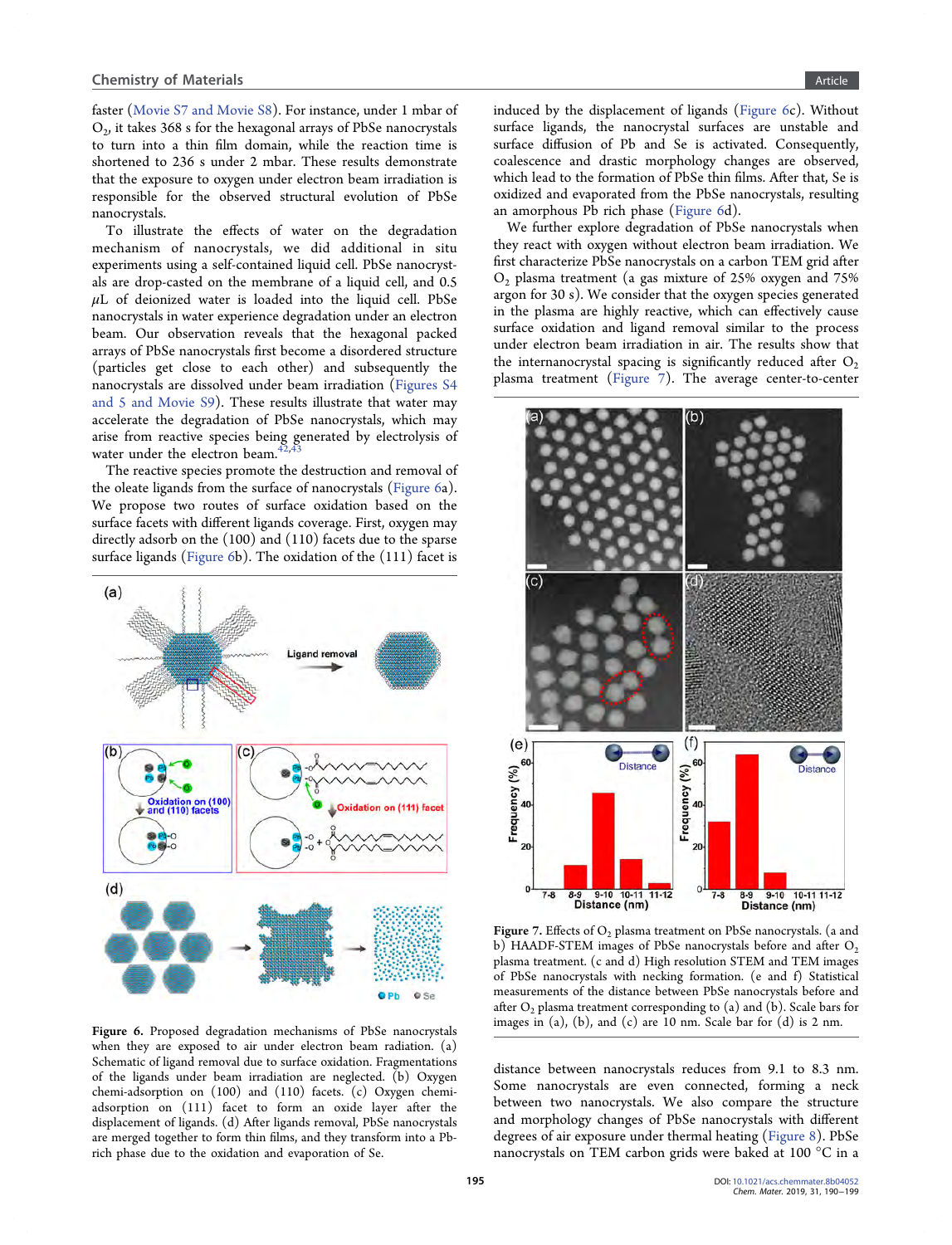faster [\(Movie S7 and Movie S8\)](#page-7-0). For instance, under 1 mbar of  $O<sub>2</sub>$ , it takes 368 s for the hexagonal arrays of PbSe nanocrystals to turn into a thin film domain, while the reaction time is shortened to 236 s under 2 mbar. These results demonstrate that the exposure to oxygen under electron beam irradiation is responsible for the observed structural evolution of PbSe nanocrystals.

To illustrate the effects of water on the degradation mechanism of nanocrystals, we did additional in situ experiments using a self-contained liquid cell. PbSe nanocrystals are drop-casted on the membrane of a liquid cell, and 0.5  $\mu$ L of deionized water is loaded into the liquid cell. PbSe nanocrystals in water experience degradation under an electron beam. Our observation reveals that the hexagonal packed arrays of PbSe nanocrystals first become a disordered structure (particles get close to each other) and subsequently the nanocrystals are dissolved under beam irradiation ([Figures S4](#page-7-0) [and 5 and Movie S9](#page-7-0)). These results illustrate that water may accelerate the degradation of PbSe nanocrystals, which may arise from reactive species being generated by electrolysis of water under the electron beam.<sup>4</sup>

The reactive species promote the destruction and removal of the oleate ligands from the surface of nanocrystals (Figure 6a). We propose two routes of surface oxidation based on the surface facets with different ligands coverage. First, oxygen may directly adsorb on the (100) and (110) facets due to the sparse surface ligands (Figure 6b). The oxidation of the (111) facet is



Figure 6. Proposed degradation mechanisms of PbSe nanocrystals when they are exposed to air under electron beam radiation. (a) Schematic of ligand removal due to surface oxidation. Fragmentations of the ligands under beam irradiation are neglected. (b) Oxygen chemi-adsorption on (100) and (110) facets. (c) Oxygen chemiadsorption on (111) facet to form an oxide layer after the displacement of ligands. (d) After ligands removal, PbSe nanocrystals are merged together to form thin films, and they transform into a Pbrich phase due to the oxidation and evaporation of Se.

induced by the displacement of ligands (Figure 6c). Without surface ligands, the nanocrystal surfaces are unstable and surface diffusion of Pb and Se is activated. Consequently, coalescence and drastic morphology changes are observed, which lead to the formation of PbSe thin films. After that, Se is oxidized and evaporated from the PbSe nanocrystals, resulting an amorphous Pb rich phase (Figure 6d).

We further explore degradation of PbSe nanocrystals when they react with oxygen without electron beam irradiation. We first characterize PbSe nanocrystals on a carbon TEM grid after  $O<sub>2</sub>$  plasma treatment (a gas mixture of 25% oxygen and 75% argon for 30 s). We consider that the oxygen species generated in the plasma are highly reactive, which can effectively cause surface oxidation and ligand removal similar to the process under electron beam irradiation in air. The results show that the internanocrystal spacing is significantly reduced after  $O_2$ plasma treatment (Figure 7). The average center-to-center



Figure 7. Effects of  $O_2$  plasma treatment on PbSe nanocrystals. (a and b) HAADF-STEM images of PbSe nanocrystals before and after  $O_2$ plasma treatment. (c and d) High resolution STEM and TEM images of PbSe nanocrystals with necking formation. (e and f) Statistical measurements of the distance between PbSe nanocrystals before and after  $O_2$  plasma treatment corresponding to (a) and (b). Scale bars for images in (a), (b), and (c) are 10 nm. Scale bar for (d) is 2 nm.

distance between nanocrystals reduces from 9.1 to 8.3 nm. Some nanocrystals are even connected, forming a neck between two nanocrystals. We also compare the structure and morphology changes of PbSe nanocrystals with different degrees of air exposure under thermal heating ([Figure 8\)](#page-6-0). PbSe nanocrystals on TEM carbon grids were baked at 100 °C in a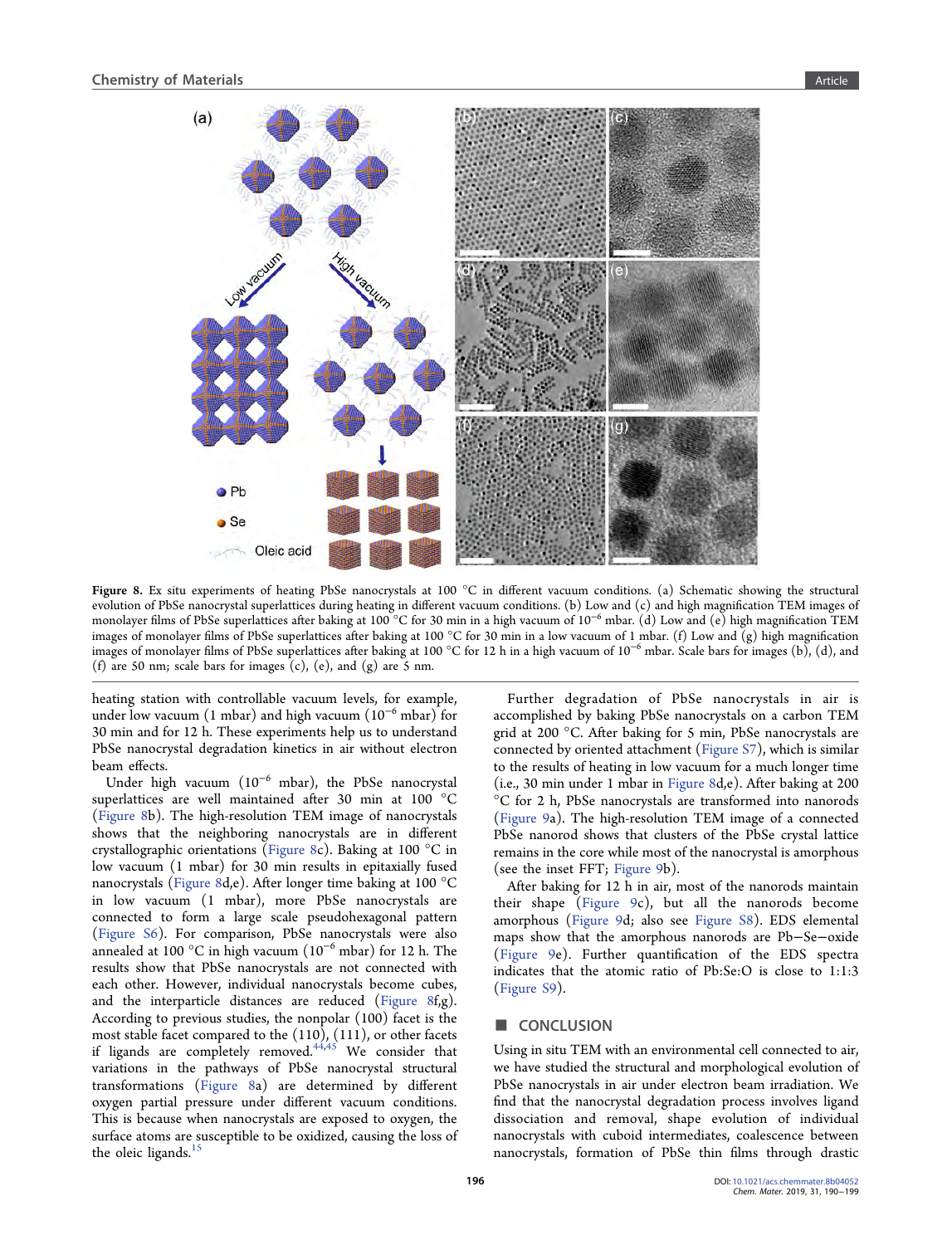<span id="page-6-0"></span>

Figure 8. Ex situ experiments of heating PbSe nanocrystals at 100 °C in different vacuum conditions. (a) Schematic showing the structural evolution of PbSe nanocrystal superlattices during heating in different vacuum conditions. (b) Low and (c) and high magnification TEM images of monolayer films of PbSe superlattices after baking at 100 °C for 30 min in a high vacuum of 10<sup>-6</sup> mbar. (d) Low and (e) high magnification TEM images of monolayer films of PbSe superlattices after baking at 100 °C for 30 min in a low vacuum of 1 mbar. (f) Low and  $(g)$  high magnification images of monolayer films of PbSe superlattices after baking at 100 °C for 12 h in a high vacuum of 10<sup>−</sup><sup>6</sup> mbar. Scale bars for images (b), (d), and (f) are 50 nm; scale bars for images  $(c)$ ,  $(e)$ , and  $(g)$  are 5 nm.

heating station with controllable vacuum levels, for example, under low vacuum (1 mbar) and high vacuum (10<sup>−</sup><sup>6</sup> mbar) for 30 min and for 12 h. These experiments help us to understand PbSe nanocrystal degradation kinetics in air without electron beam effects.

Under high vacuum (10<sup>−</sup><sup>6</sup> mbar), the PbSe nanocrystal superlattices are well maintained after 30 min at 100 °C (Figure 8b). The high-resolution TEM image of nanocrystals shows that the neighboring nanocrystals are in different crystallographic orientations (Figure 8c). Baking at 100 °C in low vacuum (1 mbar) for 30 min results in epitaxially fused nanocrystals (Figure 8d,e). After longer time baking at 100 °C in low vacuum (1 mbar), more PbSe nanocrystals are connected to form a large scale pseudohexagonal pattern ([Figure S6\)](#page-7-0). For comparison, PbSe nanocrystals were also annealed at 100 °C in high vacuum ( $10^{-6}$  mbar) for 12 h. The results show that PbSe nanocrystals are not connected with each other. However, individual nanocrystals become cubes, and the interparticle distances are reduced (Figure 8f,g). According to previous studies, the nonpolar (100) facet is the most stable facet compared to the (110), (111), or other facets if ligands are completely removed. $44,45$  We consider that variations in the pathways of PbSe nanocrystal structural transformations (Figure 8a) are determined by different oxygen partial pressure under different vacuum conditions. This is because when nanocrystals are exposed to oxygen, the surface atoms are susceptible to be oxidized, causing the loss of the oleic ligands.<sup>[15](#page-8-0)</sup>

Further degradation of PbSe nanocrystals in air is accomplished by baking PbSe nanocrystals on a carbon TEM grid at 200 °C. After baking for 5 min, PbSe nanocrystals are connected by oriented attachment [\(Figure S7](#page-7-0)), which is similar to the results of heating in low vacuum for a much longer time (i.e., 30 min under 1 mbar in Figure 8d,e). After baking at 200 °C for 2 h, PbSe nanocrystals are transformed into nanorods ([Figure 9](#page-7-0)a). The high-resolution TEM image of a connected PbSe nanorod shows that clusters of the PbSe crystal lattice remains in the core while most of the nanocrystal is amorphous (see the inset FFT; [Figure 9b](#page-7-0)).

After baking for 12 h in air, most of the nanorods maintain their shape [\(Figure 9](#page-7-0)c), but all the nanorods become amorphous ([Figure 9](#page-7-0)d; also see [Figure S8](#page-7-0)). EDS elemental maps show that the amorphous nanorods are Pb−Se−oxide ([Figure 9](#page-7-0)e). Further quantification of the EDS spectra indicates that the atomic ratio of Pb:Se:O is close to 1:1:3 ([Figure S9\)](#page-7-0).

#### ■ CONCLUSION

Using in situ TEM with an environmental cell connected to air, we have studied the structural and morphological evolution of PbSe nanocrystals in air under electron beam irradiation. We find that the nanocrystal degradation process involves ligand dissociation and removal, shape evolution of individual nanocrystals with cuboid intermediates, coalescence between nanocrystals, formation of PbSe thin films through drastic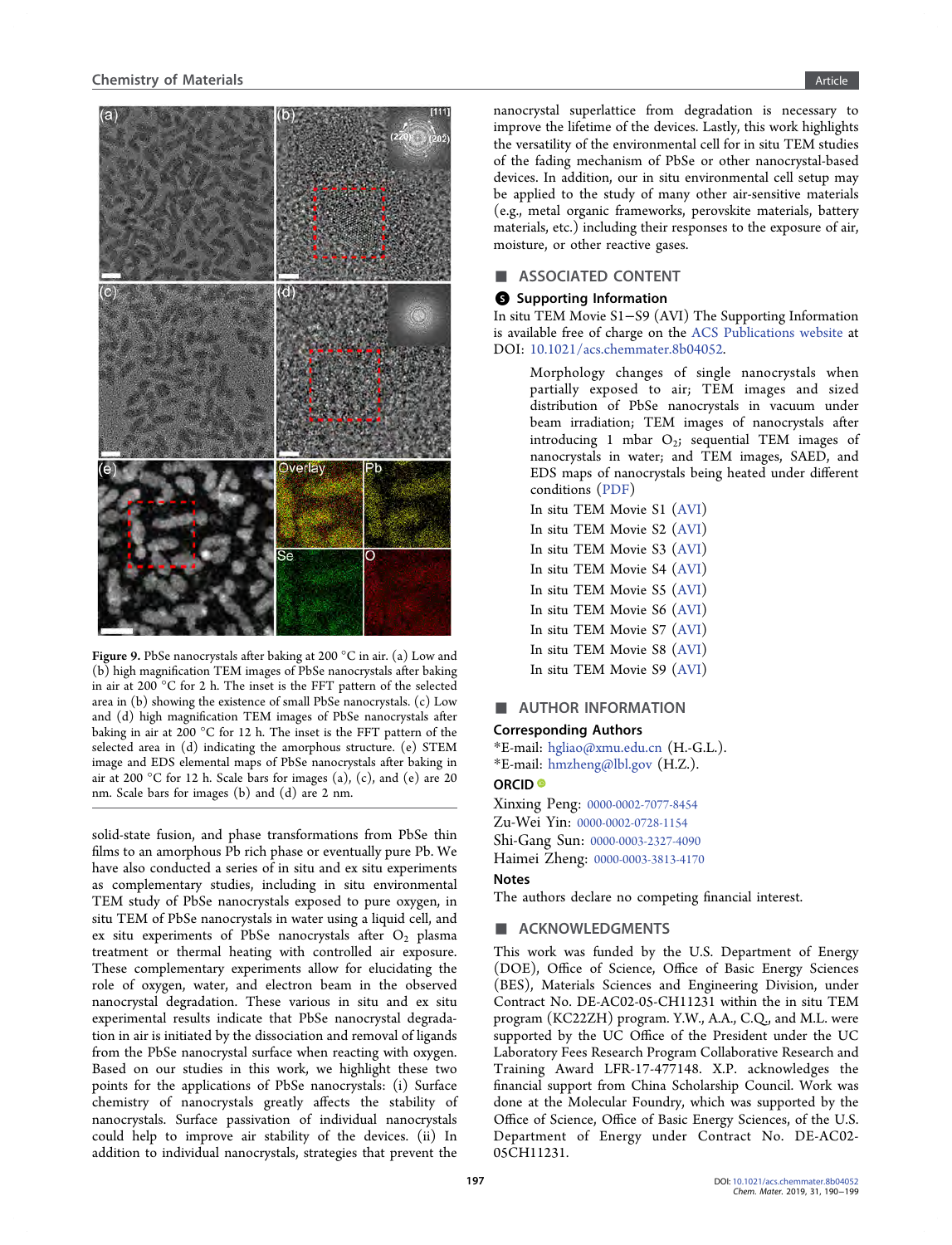<span id="page-7-0"></span>

Figure 9. PbSe nanocrystals after baking at 200 °C in air. (a) Low and (b) high magnification TEM images of PbSe nanocrystals after baking in air at 200 °C for 2 h. The inset is the FFT pattern of the selected area in (b) showing the existence of small PbSe nanocrystals. (c) Low and (d) high magnification TEM images of PbSe nanocrystals after baking in air at 200 °C for 12 h. The inset is the FFT pattern of the selected area in (d) indicating the amorphous structure. (e) STEM image and EDS elemental maps of PbSe nanocrystals after baking in air at 200 °C for 12 h. Scale bars for images (a), (c), and (e) are 20 nm. Scale bars for images (b) and (d) are 2 nm.

solid-state fusion, and phase transformations from PbSe thin films to an amorphous Pb rich phase or eventually pure Pb. We have also conducted a series of in situ and ex situ experiments as complementary studies, including in situ environmental TEM study of PbSe nanocrystals exposed to pure oxygen, in situ TEM of PbSe nanocrystals in water using a liquid cell, and ex situ experiments of PbSe nanocrystals after  $O_2$  plasma treatment or thermal heating with controlled air exposure. These complementary experiments allow for elucidating the role of oxygen, water, and electron beam in the observed nanocrystal degradation. These various in situ and ex situ experimental results indicate that PbSe nanocrystal degradation in air is initiated by the dissociation and removal of ligands from the PbSe nanocrystal surface when reacting with oxygen. Based on our studies in this work, we highlight these two points for the applications of PbSe nanocrystals: (i) Surface chemistry of nanocrystals greatly affects the stability of nanocrystals. Surface passivation of individual nanocrystals could help to improve air stability of the devices. (ii) In addition to individual nanocrystals, strategies that prevent the

nanocrystal superlattice from degradation is necessary to improve the lifetime of the devices. Lastly, this work highlights the versatility of the environmental cell for in situ TEM studies of the fading mechanism of PbSe or other nanocrystal-based devices. In addition, our in situ environmental cell setup may be applied to the study of many other air-sensitive materials (e.g., metal organic frameworks, perovskite materials, battery materials, etc.) including their responses to the exposure of air, moisture, or other reactive gases.

#### ASSOCIATED CONTENT

#### **6** Supporting Information

In situ TEM Movie S1−S9 (AVI) The Supporting Information is available free of charge on the [ACS Publications website](http://pubs.acs.org) at DOI: [10.1021/acs.chemmater.8b04052](http://pubs.acs.org/doi/abs/10.1021/acs.chemmater.8b04052).

Morphology changes of single nanocrystals when partially exposed to air; TEM images and sized distribution of PbSe nanocrystals in vacuum under beam irradiation; TEM images of nanocrystals after introducing 1 mbar  $O_2$ ; sequential TEM images of nanocrystals in water; and TEM images, SAED, and EDS maps of nanocrystals being heated under different conditions ([PDF\)](http://pubs.acs.org/doi/suppl/10.1021/acs.chemmater.8b04052/suppl_file/cm8b04052_si_001.pdf)

In situ TEM Movie S1 [\(AVI\)](http://pubs.acs.org/doi/suppl/10.1021/acs.chemmater.8b04052/suppl_file/cm8b04052_si_002.avi) In situ TEM Movie S2 [\(AVI\)](http://pubs.acs.org/doi/suppl/10.1021/acs.chemmater.8b04052/suppl_file/cm8b04052_si_003.avi) In situ TEM Movie S3 [\(AVI\)](http://pubs.acs.org/doi/suppl/10.1021/acs.chemmater.8b04052/suppl_file/cm8b04052_si_004.avi) In situ TEM Movie S4 [\(AVI\)](http://pubs.acs.org/doi/suppl/10.1021/acs.chemmater.8b04052/suppl_file/cm8b04052_si_005.avi) In situ TEM Movie S5 [\(AVI\)](http://pubs.acs.org/doi/suppl/10.1021/acs.chemmater.8b04052/suppl_file/cm8b04052_si_006.avi) In situ TEM Movie S6 [\(AVI\)](http://pubs.acs.org/doi/suppl/10.1021/acs.chemmater.8b04052/suppl_file/cm8b04052_si_007.avi) In situ TEM Movie S7 [\(AVI\)](http://pubs.acs.org/doi/suppl/10.1021/acs.chemmater.8b04052/suppl_file/cm8b04052_si_008.avi) In situ TEM Movie S8 [\(AVI\)](http://pubs.acs.org/doi/suppl/10.1021/acs.chemmater.8b04052/suppl_file/cm8b04052_si_009.avi) In situ TEM Movie S9 [\(AVI\)](http://pubs.acs.org/doi/suppl/10.1021/acs.chemmater.8b04052/suppl_file/cm8b04052_si_010.avi)

#### ■ AUTHOR INFORMATION

#### Corresponding Authors

\*E-mail: [hgliao@xmu.edu.cn](mailto:hgliao@xmu.edu.cn) (H.-G.L.). \*E-mail: [hmzheng@lbl.gov](mailto:hmzheng@lbl.gov) (H.Z.).

# ORCID<sup>®</sup>

Xinxing Peng: [0000-0002-7077-8454](http://orcid.org/0000-0002-7077-8454) Zu-Wei Yin: [0000-0002-0728-1154](http://orcid.org/0000-0002-0728-1154) Shi-Gang Sun: [0000-0003-2327-4090](http://orcid.org/0000-0003-2327-4090) Haimei Zheng: [0000-0003-3813-4170](http://orcid.org/0000-0003-3813-4170)

## Notes

The authors declare no competing financial interest.

## **ACKNOWLEDGMENTS**

This work was funded by the U.S. Department of Energy (DOE), Office of Science, Office of Basic Energy Sciences (BES), Materials Sciences and Engineering Division, under Contract No. DE-AC02-05-CH11231 within the in situ TEM program (KC22ZH) program. Y.W., A.A., C.Q., and M.L. were supported by the UC Office of the President under the UC Laboratory Fees Research Program Collaborative Research and Training Award LFR-17-477148. X.P. acknowledges the financial support from China Scholarship Council. Work was done at the Molecular Foundry, which was supported by the Office of Science, Office of Basic Energy Sciences, of the U.S. Department of Energy under Contract No. DE-AC02- 05CH11231.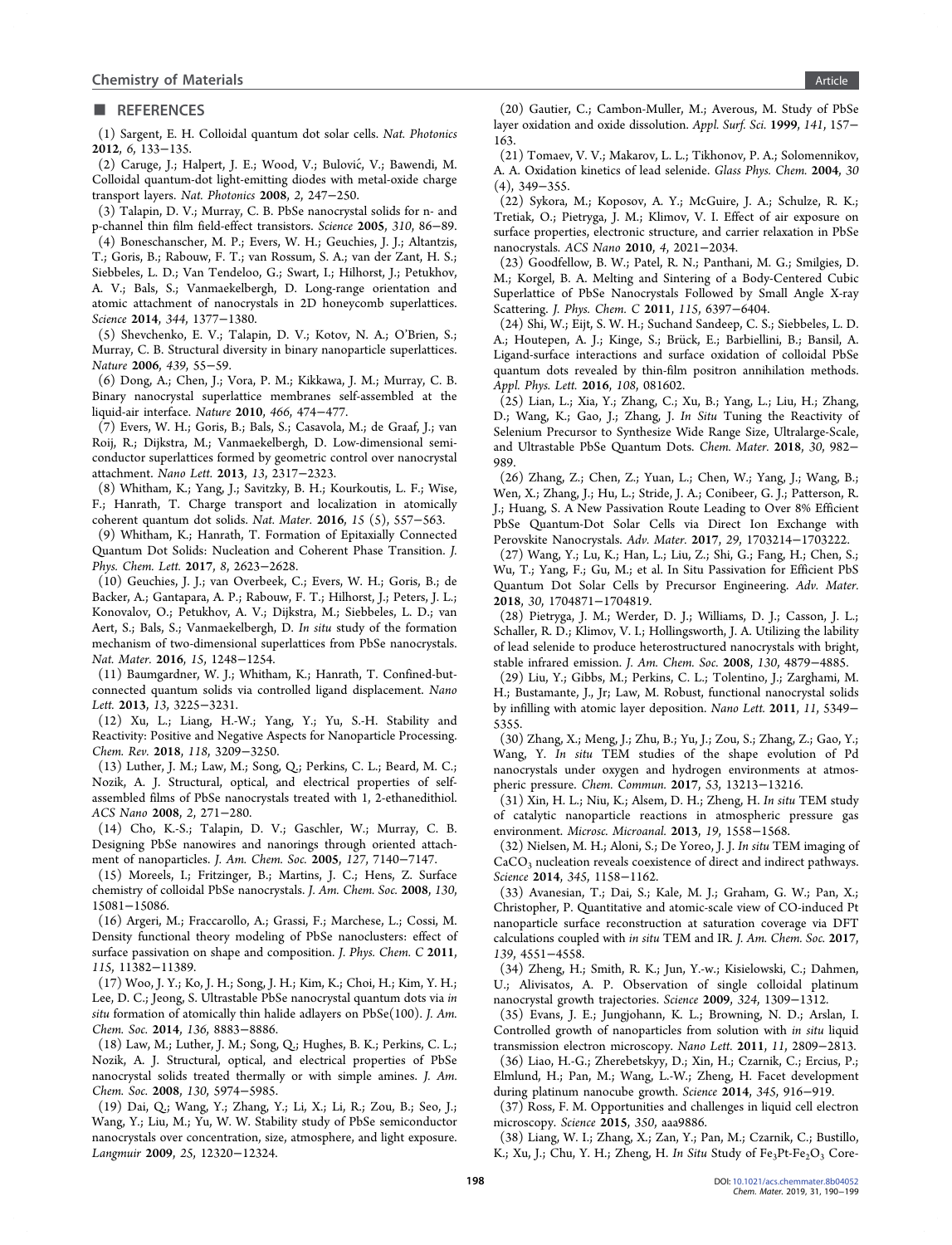#### <span id="page-8-0"></span>■ REFERENCES

(1) Sargent, E. H. Colloidal quantum dot solar cells. Nat. Photonics 2012, 6, 133−135.

(2) Caruge, J.; Halpert, J. E.; Wood, V.; Bulovic, V.; Bawendi, M. ́ Colloidal quantum-dot light-emitting diodes with metal-oxide charge transport layers. Nat. Photonics 2008, 2, 247−250.

(3) Talapin, D. V.; Murray, C. B. PbSe nanocrystal solids for n- and p-channel thin film field-effect transistors. Science 2005, 310, 86−89.

(4) Boneschanscher, M. P.; Evers, W. H.; Geuchies, J. J.; Altantzis, T.; Goris, B.; Rabouw, F. T.; van Rossum, S. A.; van der Zant, H. S.; Siebbeles, L. D.; Van Tendeloo, G.; Swart, I.; Hilhorst, J.; Petukhov, A. V.; Bals, S.; Vanmaekelbergh, D. Long-range orientation and atomic attachment of nanocrystals in 2D honeycomb superlattices. Science 2014, 344, 1377−1380.

(5) Shevchenko, E. V.; Talapin, D. V.; Kotov, N. A.; O'Brien, S.; Murray, C. B. Structural diversity in binary nanoparticle superlattices. Nature 2006, 439, 55−59.

(6) Dong, A.; Chen, J.; Vora, P. M.; Kikkawa, J. M.; Murray, C. B. Binary nanocrystal superlattice membranes self-assembled at the liquid-air interface. Nature 2010, 466, 474−477.

(7) Evers, W. H.; Goris, B.; Bals, S.; Casavola, M.; de Graaf, J.; van Roij, R.; Dijkstra, M.; Vanmaekelbergh, D. Low-dimensional semiconductor superlattices formed by geometric control over nanocrystal attachment. Nano Lett. 2013, 13, 2317−2323.

(8) Whitham, K.; Yang, J.; Savitzky, B. H.; Kourkoutis, L. F.; Wise, F.; Hanrath, T. Charge transport and localization in atomically coherent quantum dot solids. Nat. Mater. 2016, 15 (5), 557−563.

(9) Whitham, K.; Hanrath, T. Formation of Epitaxially Connected Quantum Dot Solids: Nucleation and Coherent Phase Transition. J. Phys. Chem. Lett. 2017, 8, 2623−2628.

(10) Geuchies, J. J.; van Overbeek, C.; Evers, W. H.; Goris, B.; de Backer, A.; Gantapara, A. P.; Rabouw, F. T.; Hilhorst, J.; Peters, J. L.; Konovalov, O.; Petukhov, A. V.; Dijkstra, M.; Siebbeles, L. D.; van Aert, S.; Bals, S.; Vanmaekelbergh, D. In situ study of the formation mechanism of two-dimensional superlattices from PbSe nanocrystals. Nat. Mater. 2016, 15, 1248−1254.

(11) Baumgardner, W. J.; Whitham, K.; Hanrath, T. Confined-butconnected quantum solids via controlled ligand displacement. Nano Lett. 2013, 13, 3225−3231.

(12) Xu, L.; Liang, H.-W.; Yang, Y.; Yu, S.-H. Stability and Reactivity: Positive and Negative Aspects for Nanoparticle Processing. Chem. Rev. 2018, 118, 3209−3250.

(13) Luther, J. M.; Law, M.; Song, Q.; Perkins, C. L.; Beard, M. C.; Nozik, A. J. Structural, optical, and electrical properties of selfassembled films of PbSe nanocrystals treated with 1, 2-ethanedithiol. ACS Nano 2008, 2, 271−280.

(14) Cho, K.-S.; Talapin, D. V.; Gaschler, W.; Murray, C. B. Designing PbSe nanowires and nanorings through oriented attachment of nanoparticles. J. Am. Chem. Soc. 2005, 127, 7140−7147.

(15) Moreels, I.; Fritzinger, B.; Martins, J. C.; Hens, Z. Surface chemistry of colloidal PbSe nanocrystals. J. Am. Chem. Soc. 2008, 130, 15081−15086.

(16) Argeri, M.; Fraccarollo, A.; Grassi, F.; Marchese, L.; Cossi, M. Density functional theory modeling of PbSe nanoclusters: effect of surface passivation on shape and composition. J. Phys. Chem. C 2011, 115, 11382−11389.

(17) Woo, J. Y.; Ko, J. H.; Song, J. H.; Kim, K.; Choi, H.; Kim, Y. H.; Lee, D. C.; Jeong, S. Ultrastable PbSe nanocrystal quantum dots via in situ formation of atomically thin halide adlayers on  $PbSe(100)$ . J. Am. Chem. Soc. 2014, 136, 8883−8886.

(18) Law, M.; Luther, J. M.; Song, Q.; Hughes, B. K.; Perkins, C. L.; Nozik, A. J. Structural, optical, and electrical properties of PbSe nanocrystal solids treated thermally or with simple amines. J. Am. Chem. Soc. 2008, 130, 5974−5985.

(19) Dai, Q.; Wang, Y.; Zhang, Y.; Li, X.; Li, R.; Zou, B.; Seo, J.; Wang, Y.; Liu, M.; Yu, W. W. Stability study of PbSe semiconductor nanocrystals over concentration, size, atmosphere, and light exposure. Langmuir 2009, 25, 12320−12324.

(21) Tomaev, V. V.; Makarov, L. L.; Tikhonov, P. A.; Solomennikov, A. A. Oxidation kinetics of lead selenide. Glass Phys. Chem. 2004, 30 (4), 349−355.

(22) Sykora, M.; Koposov, A. Y.; McGuire, J. A.; Schulze, R. K.; Tretiak, O.; Pietryga, J. M.; Klimov, V. I. Effect of air exposure on surface properties, electronic structure, and carrier relaxation in PbSe nanocrystals. ACS Nano 2010, 4, 2021−2034.

(23) Goodfellow, B. W.; Patel, R. N.; Panthani, M. G.; Smilgies, D. M.; Korgel, B. A. Melting and Sintering of a Body-Centered Cubic Superlattice of PbSe Nanocrystals Followed by Small Angle X-ray Scattering. J. Phys. Chem. C 2011, 115, 6397−6404.

(24) Shi, W.; Eijt, S. W. H.; Suchand Sandeep, C. S.; Siebbeles, L. D. A.; Houtepen, A. J.; Kinge, S.; Brück, E.; Barbiellini, B.; Bansil, A. Ligand-surface interactions and surface oxidation of colloidal PbSe quantum dots revealed by thin-film positron annihilation methods. Appl. Phys. Lett. 2016, 108, 081602.

(25) Lian, L.; Xia, Y.; Zhang, C.; Xu, B.; Yang, L.; Liu, H.; Zhang, D.; Wang, K.; Gao, J.; Zhang, J. In Situ Tuning the Reactivity of Selenium Precursor to Synthesize Wide Range Size, Ultralarge-Scale, and Ultrastable PbSe Quantum Dots. Chem. Mater. 2018, 30, 982− 989.

(26) Zhang, Z.; Chen, Z.; Yuan, L.; Chen, W.; Yang, J.; Wang, B.; Wen, X.; Zhang, J.; Hu, L.; Stride, J. A.; Conibeer, G. J.; Patterson, R. J.; Huang, S. A New Passivation Route Leading to Over 8% Efficient PbSe Quantum-Dot Solar Cells via Direct Ion Exchange with Perovskite Nanocrystals. Adv. Mater. 2017, 29, 1703214−1703222.

(27) Wang, Y.; Lu, K.; Han, L.; Liu, Z.; Shi, G.; Fang, H.; Chen, S.; Wu, T.; Yang, F.; Gu, M.; et al. In Situ Passivation for Efficient PbS Quantum Dot Solar Cells by Precursor Engineering. Adv. Mater. 2018, 30, 1704871−1704819.

(28) Pietryga, J. M.; Werder, D. J.; Williams, D. J.; Casson, J. L.; Schaller, R. D.; Klimov, V. I.; Hollingsworth, J. A. Utilizing the lability of lead selenide to produce heterostructured nanocrystals with bright, stable infrared emission. J. Am. Chem. Soc. 2008, 130, 4879−4885.

(29) Liu, Y.; Gibbs, M.; Perkins, C. L.; Tolentino, J.; Zarghami, M. H.; Bustamante, J., Jr; Law, M. Robust, functional nanocrystal solids by infilling with atomic layer deposition. Nano Lett. 2011, 11, 5349− 5355.

(30) Zhang, X.; Meng, J.; Zhu, B.; Yu, J.; Zou, S.; Zhang, Z.; Gao, Y.; Wang, Y. In situ TEM studies of the shape evolution of Pd nanocrystals under oxygen and hydrogen environments at atmospheric pressure. Chem. Commun. 2017, 53, 13213−13216.

(31) Xin, H. L.; Niu, K.; Alsem, D. H.; Zheng, H. In situ TEM study of catalytic nanoparticle reactions in atmospheric pressure gas environment. Microsc. Microanal. 2013, 19, 1558−1568.

(32) Nielsen, M. H.; Aloni, S.; De Yoreo, J. J. In situ TEM imaging of CaCO<sub>3</sub> nucleation reveals coexistence of direct and indirect pathways. Science 2014, 345, 1158−1162.

(33) Avanesian, T.; Dai, S.; Kale, M. J.; Graham, G. W.; Pan, X.; Christopher, P. Quantitative and atomic-scale view of CO-induced Pt nanoparticle surface reconstruction at saturation coverage via DFT calculations coupled with in situ TEM and IR. J. Am. Chem. Soc. 2017, 139, 4551−4558.

(34) Zheng, H.; Smith, R. K.; Jun, Y.-w.; Kisielowski, C.; Dahmen, U.; Alivisatos, A. P. Observation of single colloidal platinum nanocrystal growth trajectories. Science 2009, 324, 1309−1312.

(35) Evans, J. E.; Jungjohann, K. L.; Browning, N. D.; Arslan, I. Controlled growth of nanoparticles from solution with in situ liquid transmission electron microscopy. Nano Lett. 2011, 11, 2809−2813.

(36) Liao, H.-G.; Zherebetskyy, D.; Xin, H.; Czarnik, C.; Ercius, P.; Elmlund, H.; Pan, M.; Wang, L.-W.; Zheng, H. Facet development during platinum nanocube growth. Science 2014, 345, 916−919.

(37) Ross, F. M. Opportunities and challenges in liquid cell electron microscopy. Science 2015, 350, aaa9886.

(38) Liang, W. I.; Zhang, X.; Zan, Y.; Pan, M.; Czarnik, C.; Bustillo, K.; Xu, J.; Chu, Y. H.; Zheng, H. In Situ Study of Fe<sub>3</sub>Pt-Fe<sub>2</sub>O<sub>3</sub> Core